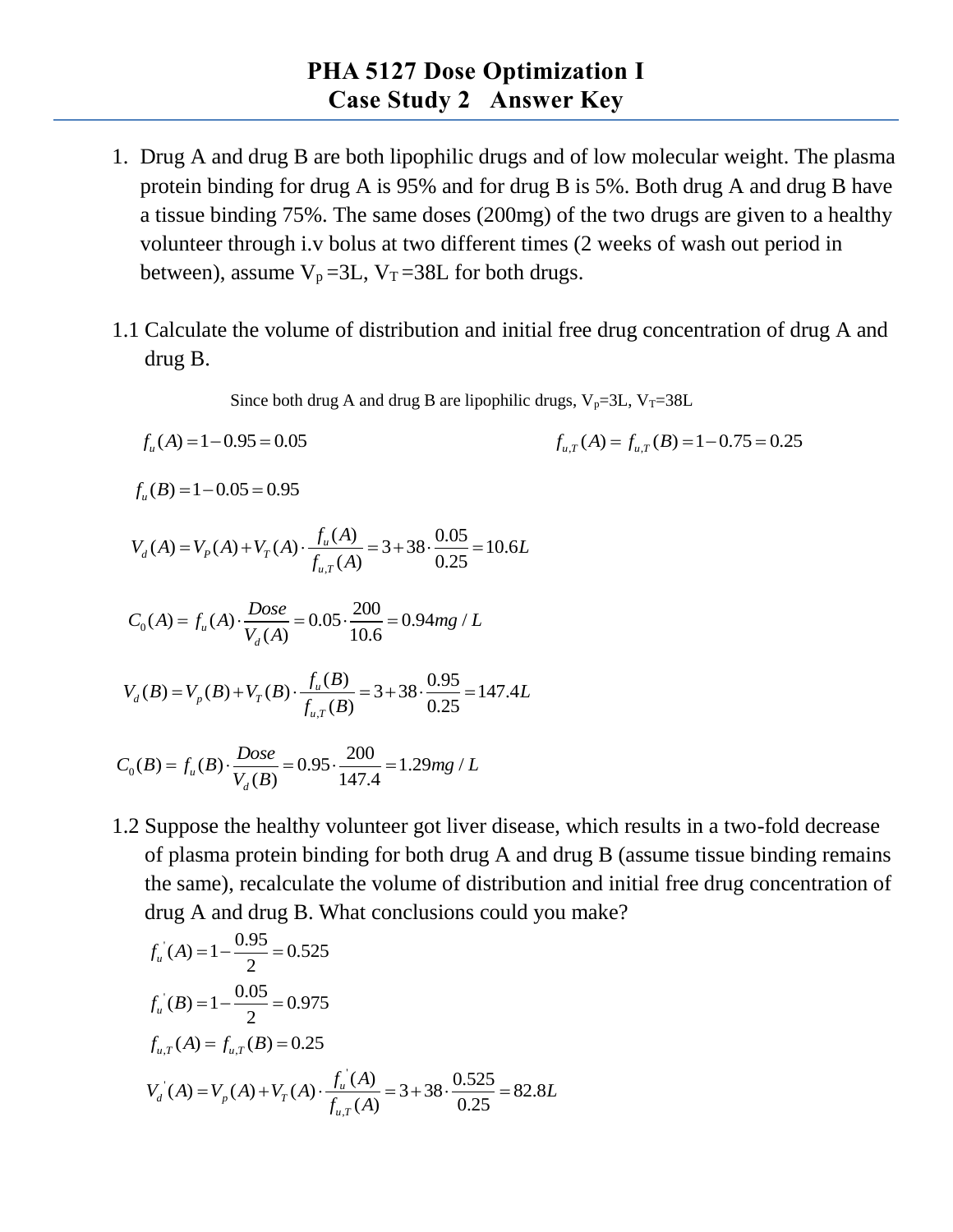- 1. Drug A and drug B are both lipophilic drugs and of low molecular weight. The plasma protein binding for drug A is 95% and for drug B is 5%. Both drug A and drug B have a tissue binding 75%. The same doses (200mg) of the two drugs are given to a healthy volunteer through i.v bolus at two different times (2 weeks of wash out period in between), assume  $V_p = 3L$ ,  $V_T = 38L$  for both drugs.
- 1.1 Calculate the volume of distribution and initial free drug concentration of drug A and drug B.

Since both drug A and drug B are lipophilic drugs,  $V_p=3L$ ,  $V_T=38L$ 

$$
f_u(A) = 1 - 0.95 = 0.05
$$
  

$$
f_{u,T}(A) = f_{u,T}(B) = 1 - 0.75 = 0.25
$$

 $f_u(B) = 1 - 0.05 = 0.95$ 

$$
f_u(B) = 1 - 0.05 = 0.95
$$
  

$$
V_d(A) = V_p(A) + V_r(A) \cdot \frac{f_u(A)}{f_{u,r}(A)} = 3 + 38 \cdot \frac{0.05}{0.25} = 10.6L
$$

$$
C_0(A) = f_u(A) \cdot \frac{Dose}{V_d(A)} = 0.05 \cdot \frac{200}{10.6} = 0.94mg / L
$$

$$
V_a(A) = 10.6
$$
  

$$
V_a(B) = V_p(B) + V_T(B) \cdot \frac{f_u(B)}{f_{u,T}(B)} = 3 + 38 \cdot \frac{0.95}{0.25} = 147.4L
$$

$$
C_0(B) = f_u(B) \cdot \frac{Dose}{V_d(B)} = 0.95 \cdot \frac{200}{147.4} = 1.29mg / L
$$

1.2 Suppose the healthy volunteer got liver disease, which results in a two-fold decrease of plasma protein binding for both drug A and drug B (assume tissue binding remains the same), recalculate the volume of distribution and initial free drug concentration of drug A and drug B. What conclusions could you make?

$$
f_u^{\dagger}(A) = 1 - \frac{0.95}{2} = 0.525
$$
  
\n
$$
f_u^{\dagger}(B) = 1 - \frac{0.05}{2} = 0.975
$$
  
\n
$$
f_{u,T}(A) = f_{u,T}(B) = 0.25
$$
  
\n
$$
V_d^{\dagger}(A) = V_p(A) + V_T(A) \cdot \frac{f_u^{\dagger}(A)}{f_{u,T}(A)} = 3 + 38 \cdot \frac{0.525}{0.25} = 82.8L
$$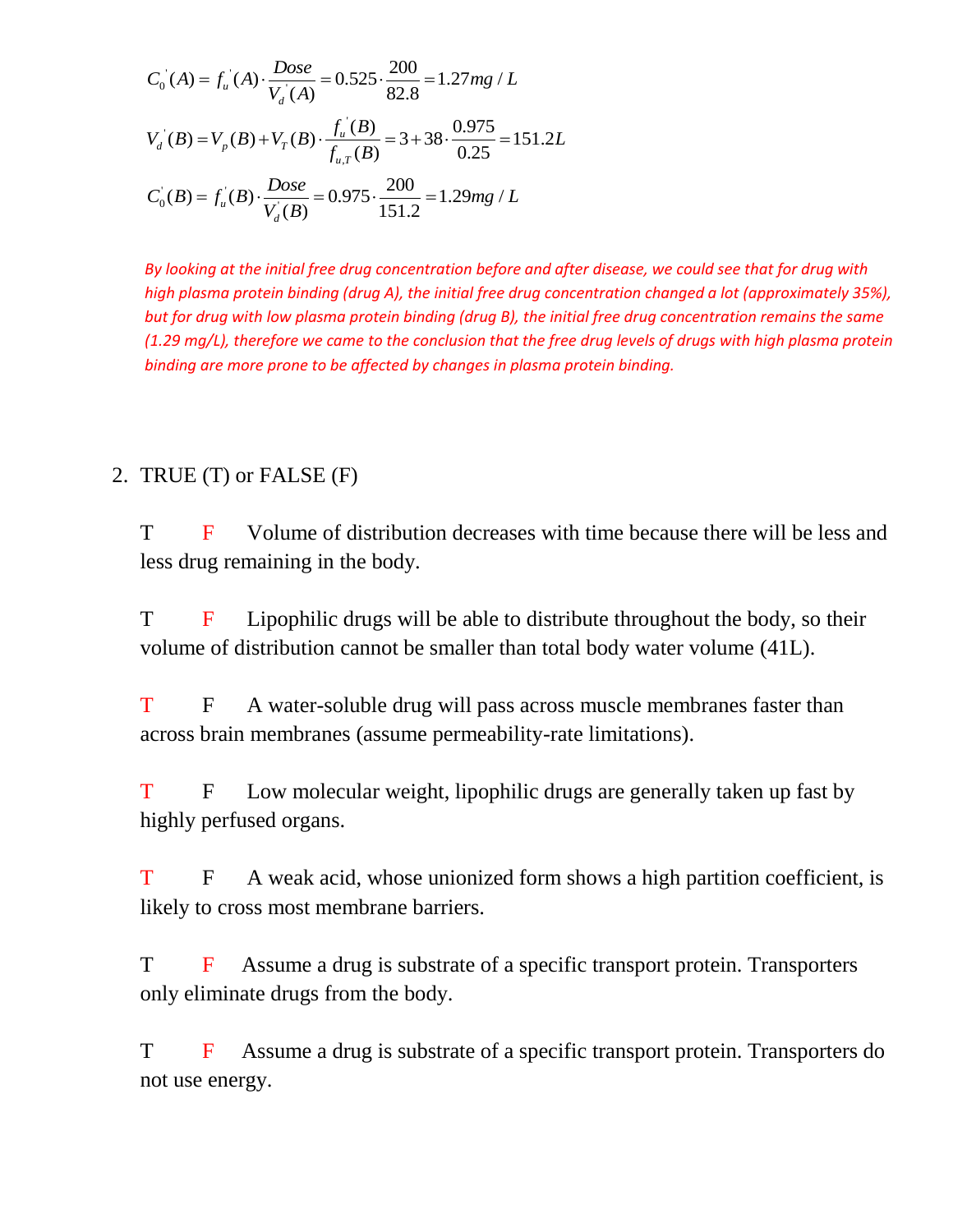$$
C_0(A) = f_u(A) \cdot \frac{Dose}{V_d(A)} = 0.525 \cdot \frac{200}{82.8} = 1.27mg / L
$$
  

$$
V_d(B) = V_p(B) + V_T(B) \cdot \frac{f_u(B)}{f_{u,T}(B)} = 3 + 38 \cdot \frac{0.975}{0.25} = 151.2L
$$
  

$$
C_0(B) = f_u(B) \cdot \frac{Dose}{V_d(B)} = 0.975 \cdot \frac{200}{151.2} = 1.29mg / L
$$

*By looking at the initial free drug concentration before and after disease, we could see that for drug with high plasma protein binding (drug A), the initial free drug concentration changed a lot (approximately 35%), but for drug with low plasma protein binding (drug B), the initial free drug concentration remains the same (1.29 mg/L), therefore we came to the conclusion that the free drug levels of drugs with high plasma protein binding are more prone to be affected by changes in plasma protein binding.*

## 2. TRUE (T) or FALSE (F)

T F Volume of distribution decreases with time because there will be less and less drug remaining in the body.

T F Lipophilic drugs will be able to distribute throughout the body, so their volume of distribution cannot be smaller than total body water volume (41L).

T F A water-soluble drug will pass across muscle membranes faster than across brain membranes (assume permeability-rate limitations).

T F Low molecular weight, lipophilic drugs are generally taken up fast by highly perfused organs.

T F A weak acid, whose unionized form shows a high partition coefficient, is likely to cross most membrane barriers.

T F Assume a drug is substrate of a specific transport protein. Transporters only eliminate drugs from the body.

T F Assume a drug is substrate of a specific transport protein. Transporters do not use energy.